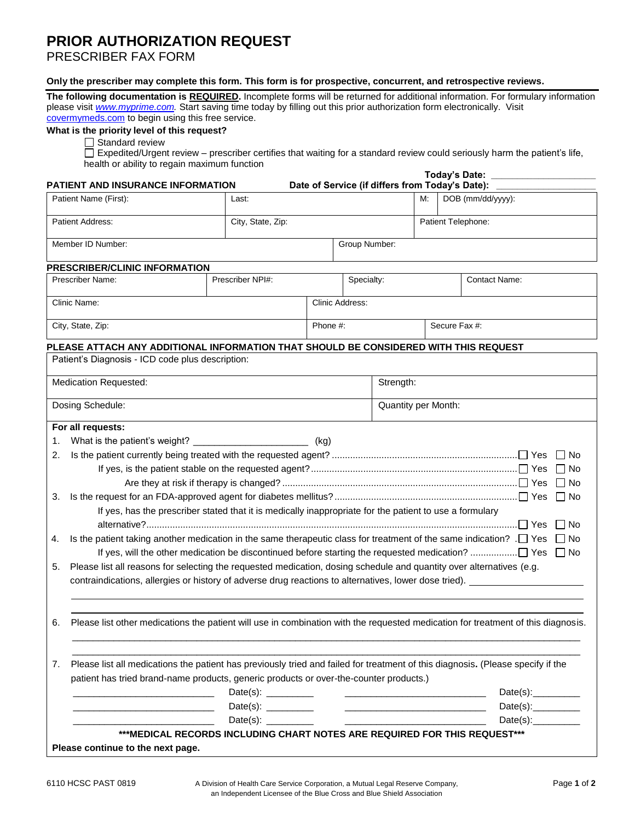## **PRIOR AUTHORIZATION REQUEST**

PRESCRIBER FAX FORM

## Only the prescriber may complete this form. This form is for prospective, concurrent, and retrospective reviews.

The following documentation is REQUIRED. Incomplete forms will be returned for additional information. For formulary information please visit *[www.myprime.com.](http://www.myprime.com/)* Start saving time today by filling out this prior authorization form electronically. Visit [covermymeds.com](http://www.covermymeds.com/) to begin using this free service.

## **What is the priority level of this request?**

S tandard review

E xpedited/Urgent review – prescriber certifies that waiting for a standard review could seriously harm the patient's life, health or ability to regain maximum function

|                                                                                                                                                                                                                                                                | <b>Today's Date:</b><br><b>PATIENT AND INSURANCE INFORMATION</b><br>Date of Service (if differs from Today's Date): ____ |                        |  |                 |            |                    |                                                                                                                                                                                                                                                                |                                                                                                                                  |  |
|----------------------------------------------------------------------------------------------------------------------------------------------------------------------------------------------------------------------------------------------------------------|--------------------------------------------------------------------------------------------------------------------------|------------------------|--|-----------------|------------|--------------------|----------------------------------------------------------------------------------------------------------------------------------------------------------------------------------------------------------------------------------------------------------------|----------------------------------------------------------------------------------------------------------------------------------|--|
| Patient Name (First):<br>Last:                                                                                                                                                                                                                                 |                                                                                                                          |                        |  |                 |            | М.                 | DOB (mm/dd/yyyy):                                                                                                                                                                                                                                              |                                                                                                                                  |  |
| Patient Address:                                                                                                                                                                                                                                               |                                                                                                                          | City, State, Zip:      |  |                 |            | Patient Telephone: |                                                                                                                                                                                                                                                                |                                                                                                                                  |  |
| Member ID Number:                                                                                                                                                                                                                                              |                                                                                                                          |                        |  | Group Number:   |            |                    |                                                                                                                                                                                                                                                                |                                                                                                                                  |  |
| PRESCRIBER/CLINIC INFORMATION                                                                                                                                                                                                                                  |                                                                                                                          |                        |  |                 |            |                    |                                                                                                                                                                                                                                                                |                                                                                                                                  |  |
| Prescriber Name:                                                                                                                                                                                                                                               |                                                                                                                          | Prescriber NPI#:       |  |                 | Specialty: |                    |                                                                                                                                                                                                                                                                | <b>Contact Name:</b>                                                                                                             |  |
| Clinic Name:                                                                                                                                                                                                                                                   |                                                                                                                          |                        |  | Clinic Address: |            |                    |                                                                                                                                                                                                                                                                |                                                                                                                                  |  |
| City, State, Zip:                                                                                                                                                                                                                                              |                                                                                                                          |                        |  | Phone #:        |            |                    | Secure Fax #:                                                                                                                                                                                                                                                  |                                                                                                                                  |  |
| PLEASE ATTACH ANY ADDITIONAL INFORMATION THAT SHOULD BE CONSIDERED WITH THIS REQUEST                                                                                                                                                                           |                                                                                                                          |                        |  |                 |            |                    |                                                                                                                                                                                                                                                                |                                                                                                                                  |  |
| Patient's Diagnosis - ICD code plus description:                                                                                                                                                                                                               |                                                                                                                          |                        |  |                 |            |                    |                                                                                                                                                                                                                                                                |                                                                                                                                  |  |
| Medication Requested:                                                                                                                                                                                                                                          |                                                                                                                          |                        |  |                 | Strength:  |                    |                                                                                                                                                                                                                                                                |                                                                                                                                  |  |
| Dosing Schedule:                                                                                                                                                                                                                                               |                                                                                                                          |                        |  |                 |            |                    | Quantity per Month:                                                                                                                                                                                                                                            |                                                                                                                                  |  |
| For all requests:                                                                                                                                                                                                                                              |                                                                                                                          |                        |  |                 |            |                    |                                                                                                                                                                                                                                                                |                                                                                                                                  |  |
| 1.                                                                                                                                                                                                                                                             |                                                                                                                          |                        |  |                 |            |                    |                                                                                                                                                                                                                                                                |                                                                                                                                  |  |
| 2.                                                                                                                                                                                                                                                             |                                                                                                                          |                        |  |                 |            |                    |                                                                                                                                                                                                                                                                | $\Box$ No                                                                                                                        |  |
|                                                                                                                                                                                                                                                                |                                                                                                                          |                        |  |                 |            |                    |                                                                                                                                                                                                                                                                | $\Box$ No                                                                                                                        |  |
|                                                                                                                                                                                                                                                                |                                                                                                                          |                        |  |                 |            |                    |                                                                                                                                                                                                                                                                | $\Box$ No                                                                                                                        |  |
| 3.                                                                                                                                                                                                                                                             |                                                                                                                          |                        |  |                 |            |                    |                                                                                                                                                                                                                                                                | l INo                                                                                                                            |  |
|                                                                                                                                                                                                                                                                | If yes, has the prescriber stated that it is medically inappropriate for the patient to use a formulary                  |                        |  |                 |            |                    |                                                                                                                                                                                                                                                                | $\Box$ No                                                                                                                        |  |
| Is the patient taking another medication in the same therapeutic class for treatment of the same indication? . □ Yes<br>4.                                                                                                                                     |                                                                                                                          |                        |  |                 |            |                    |                                                                                                                                                                                                                                                                | $\Box$ No                                                                                                                        |  |
|                                                                                                                                                                                                                                                                |                                                                                                                          |                        |  |                 |            |                    |                                                                                                                                                                                                                                                                |                                                                                                                                  |  |
| Please list all reasons for selecting the requested medication, dosing schedule and quantity over alternatives (e.g.<br>5.                                                                                                                                     |                                                                                                                          |                        |  |                 |            |                    |                                                                                                                                                                                                                                                                |                                                                                                                                  |  |
|                                                                                                                                                                                                                                                                |                                                                                                                          |                        |  |                 |            |                    |                                                                                                                                                                                                                                                                | contraindications, allergies or history of adverse drug reactions to alternatives, lower dose tried).                            |  |
| 6.                                                                                                                                                                                                                                                             |                                                                                                                          |                        |  |                 |            |                    |                                                                                                                                                                                                                                                                | Please list other medications the patient will use in combination with the requested medication for treatment of this diagnosis. |  |
| 7.                                                                                                                                                                                                                                                             |                                                                                                                          |                        |  |                 |            |                    |                                                                                                                                                                                                                                                                | Please list all medications the patient has previously tried and failed for treatment of this diagnosis. (Please specify if the  |  |
| patient has tried brand-name products, generic products or over-the-counter products.)                                                                                                                                                                         |                                                                                                                          |                        |  |                 |            |                    |                                                                                                                                                                                                                                                                |                                                                                                                                  |  |
| <u> 1960 - Johann John Stone, markin f</u>                                                                                                                                                                                                                     |                                                                                                                          | Date(s): $\frac{1}{2}$ |  |                 |            |                    |                                                                                                                                                                                                                                                                | Date(s): $\frac{1}{2}$                                                                                                           |  |
| Date(s): $\frac{1}{2}$<br><u> 1980 - Johann John Harry Harry Harry Harry Harry Harry Harry Harry Harry Harry Harry Harry Harry Harry Harry Harry Harry Harry Harry Harry Harry Harry Harry Harry Harry Harry Harry Harry Harry Harry Harry Harry Harry Har</u> |                                                                                                                          |                        |  |                 |            |                    | Date(s): $\frac{1}{2}$<br><u> 1989 - Johann Harry Harry Harry Harry Harry Harry Harry Harry Harry Harry Harry Harry Harry Harry Harry Harry Harry Harry Harry Harry Harry Harry Harry Harry Harry Harry Harry Harry Harry Harry Harry Harry Harry Harry Ha</u> |                                                                                                                                  |  |
| Date(s):                                                                                                                                                                                                                                                       |                                                                                                                          |                        |  |                 |            |                    |                                                                                                                                                                                                                                                                | Date(s):                                                                                                                         |  |
|                                                                                                                                                                                                                                                                | ***MEDICAL RECORDS INCLUDING CHART NOTES ARE REQUIRED FOR THIS REQUEST ***                                               |                        |  |                 |            |                    |                                                                                                                                                                                                                                                                |                                                                                                                                  |  |
| Please continue to the next page.                                                                                                                                                                                                                              |                                                                                                                          |                        |  |                 |            |                    |                                                                                                                                                                                                                                                                |                                                                                                                                  |  |